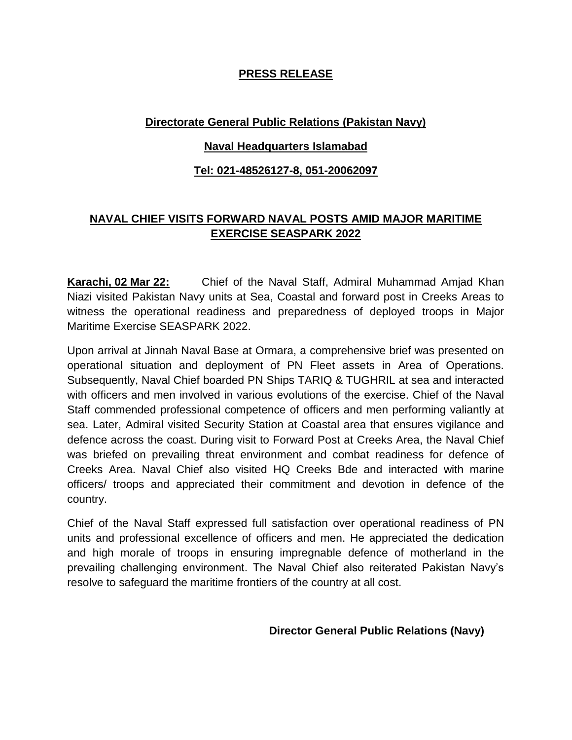## **PRESS RELEASE**

# **Directorate General Public Relations (Pakistan Navy)**

#### **Naval Headquarters Islamabad**

### **Tel: 021-48526127-8, 051-20062097**

# **NAVAL CHIEF VISITS FORWARD NAVAL POSTS AMID MAJOR MARITIME EXERCISE SEASPARK 2022**

**Karachi, 02 Mar 22:** Chief of the Naval Staff, Admiral Muhammad Amjad Khan Niazi visited Pakistan Navy units at Sea, Coastal and forward post in Creeks Areas to witness the operational readiness and preparedness of deployed troops in Major Maritime Exercise SEASPARK 2022.

Upon arrival at Jinnah Naval Base at Ormara, a comprehensive brief was presented on operational situation and deployment of PN Fleet assets in Area of Operations. Subsequently, Naval Chief boarded PN Ships TARIQ & TUGHRIL at sea and interacted with officers and men involved in various evolutions of the exercise. Chief of the Naval Staff commended professional competence of officers and men performing valiantly at sea. Later, Admiral visited Security Station at Coastal area that ensures vigilance and defence across the coast. During visit to Forward Post at Creeks Area, the Naval Chief was briefed on prevailing threat environment and combat readiness for defence of Creeks Area. Naval Chief also visited HQ Creeks Bde and interacted with marine officers/ troops and appreciated their commitment and devotion in defence of the country.

Chief of the Naval Staff expressed full satisfaction over operational readiness of PN units and professional excellence of officers and men. He appreciated the dedication and high morale of troops in ensuring impregnable defence of motherland in the prevailing challenging environment. The Naval Chief also reiterated Pakistan Navy's resolve to safeguard the maritime frontiers of the country at all cost.

#### **Director General Public Relations (Navy)**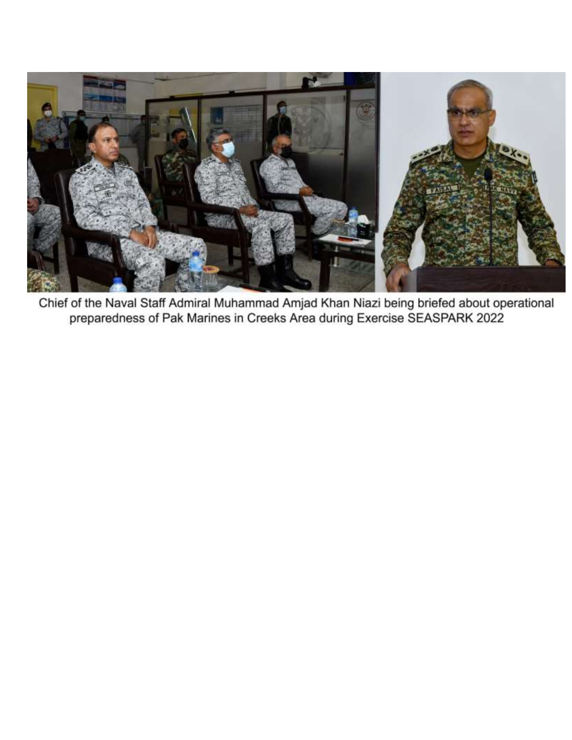

Chief of the Naval Staff Admiral Muhammad Amjad Khan Niazi being briefed about operational preparedness of Pak Marines in Creeks Area during Exercise SEASPARK 2022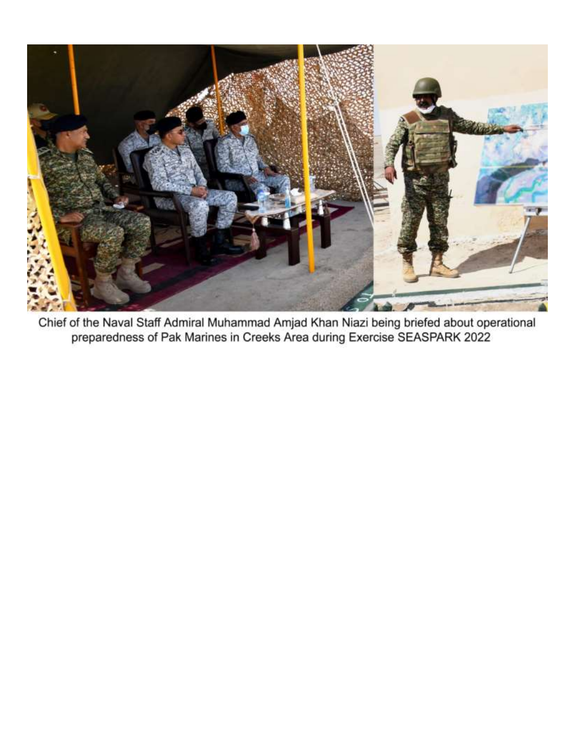

Chief of the Naval Staff Admiral Muhammad Amjad Khan Niazi being briefed about operational<br>preparedness of Pak Marines in Creeks Area during Exercise SEASPARK 2022